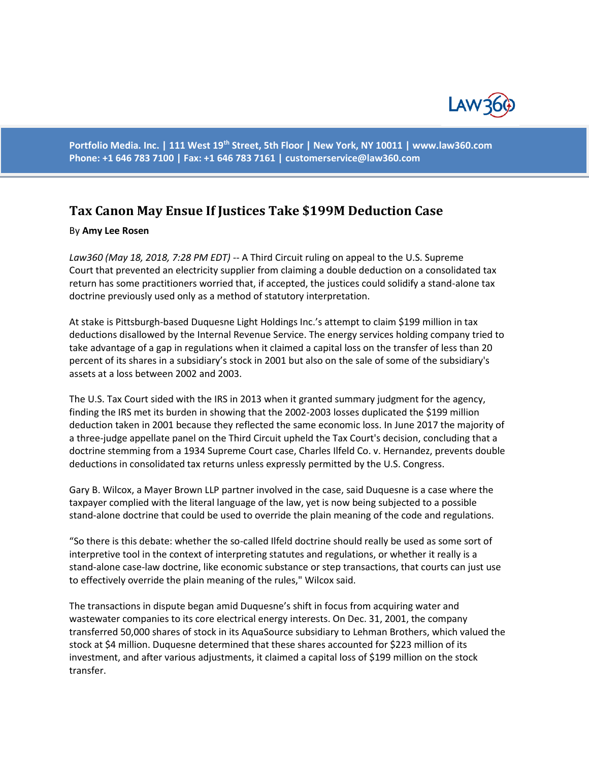

**Portfolio Media. Inc. | 111 West 19th Street, 5th Floor | New York, NY 10011 | www.law360.com Phone: +1 646 783 7100 | Fax: +1 646 783 7161 | [customerservice@law360.com](mailto:customerservice@law360.com)**

## **Tax Canon May Ensue If Justices Take \$199M Deduction Case**

## By **Amy Lee Rosen**

*Law360 (May 18, 2018, 7:28 PM EDT) --* A Third Circuit ruling on appeal to the U.S. Supreme Court that prevented an electricity supplier from claiming a double deduction on a consolidated tax return has some practitioners worried that, if accepted, the justices could solidify a stand-alone tax doctrine previously used only as a method of statutory interpretation.

At stake is Pittsburgh-based Duquesne Light Holdings Inc.'s attempt to claim \$199 million in tax deductions disallowed by the Internal Revenue Service. The energy services holding company tried to take advantage of a gap in regulations when it claimed a capital loss on the transfer of less than 20 percent of its shares in a subsidiary's stock in 2001 but also on the sale of some of the subsidiary's assets at a loss between 2002 and 2003.

The U.S. Tax Court sided with the IRS in 2013 when it granted summary judgment for the agency, finding the IRS met its burden in showing that the 2002-2003 losses duplicated the \$199 million deduction taken in 2001 because they reflected the same economic loss. In June 2017 the majority of a three-judge appellate panel on the Third Circuit upheld the Tax Court's decision, concluding that a doctrine stemming from a 1934 Supreme Court case, Charles Ilfeld Co. v. Hernandez, prevents double deductions in consolidated tax returns unless expressly permitted by the U.S. Congress.

Gary B. Wilcox, a Mayer Brown LLP partner involved in the case, said Duquesne is a case where the taxpayer complied with the literal language of the law, yet is now being subjected to a possible stand-alone doctrine that could be used to override the plain meaning of the code and regulations.

"So there is this debate: whether the so-called Ilfeld doctrine should really be used as some sort of interpretive tool in the context of interpreting statutes and regulations, or whether it really is a stand-alone case-law doctrine, like economic substance or step transactions, that courts can just use to effectively override the plain meaning of the rules," Wilcox said.

The transactions in dispute began amid Duquesne's shift in focus from acquiring water and wastewater companies to its core electrical energy interests. On Dec. 31, 2001, the company transferred 50,000 shares of stock in its AquaSource subsidiary to Lehman Brothers, which valued the stock at \$4 million. Duquesne determined that these shares accounted for \$223 million of its investment, and after various adjustments, it claimed a capital loss of \$199 million on the stock transfer.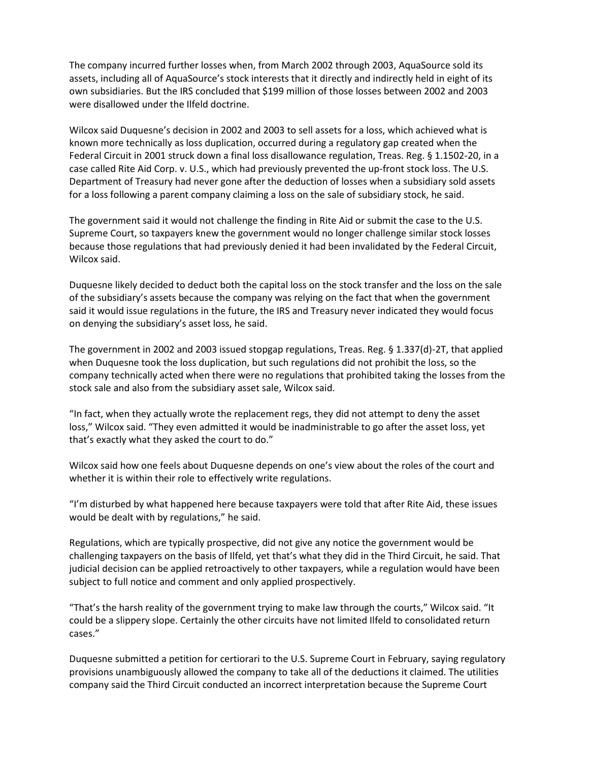The company incurred further losses when, from March 2002 through 2003, AquaSource sold its assets, including all of AquaSource's stock interests that it directly and indirectly held in eight of its own subsidiaries. But the IRS concluded that \$199 million of those losses between 2002 and 2003 were disallowed under the Ilfeld doctrine.

Wilcox said Duquesne's decision in 2002 and 2003 to sell assets for a loss, which achieved what is known more technically as loss duplication, occurred during a regulatory gap created when the Federal Circuit in 2001 struck down a final loss disallowance regulation, Treas. Reg. § 1.1502-20, in a case called Rite Aid Corp. v. U.S., which had previously prevented the up-front stock loss. The U.S. Department of Treasury had never gone after the deduction of losses when a subsidiary sold assets for a loss following a parent company claiming a loss on the sale of subsidiary stock, he said.

The government said it would not challenge the finding in Rite Aid or submit the case to the U.S. Supreme Court, so taxpayers knew the government would no longer challenge similar stock losses because those regulations that had previously denied it had been invalidated by the Federal Circuit, Wilcox said.

Duquesne likely decided to deduct both the capital loss on the stock transfer and the loss on the sale of the subsidiary's assets because the company was relying on the fact that when the government said it would issue regulations in the future, the IRS and Treasury never indicated they would focus on denying the subsidiary's asset loss, he said.

The government in 2002 and 2003 issued stopgap regulations, Treas. Reg. § 1.337(d)-2T, that applied when Duquesne took the loss duplication, but such regulations did not prohibit the loss, so the company technically acted when there were no regulations that prohibited taking the losses from the stock sale and also from the subsidiary asset sale, Wilcox said.

"In fact, when they actually wrote the replacement regs, they did not attempt to deny the asset loss," Wilcox said. "They even admitted it would be inadministrable to go after the asset loss, yet that's exactly what they asked the court to do."

Wilcox said how one feels about Duquesne depends on one's view about the roles of the court and whether it is within their role to effectively write regulations.

"I'm disturbed by what happened here because taxpayers were told that after Rite Aid, these issues would be dealt with by regulations," he said.

Regulations, which are typically prospective, did not give any notice the government would be challenging taxpayers on the basis of Ilfeld, yet that's what they did in the Third Circuit, he said. That judicial decision can be applied retroactively to other taxpayers, while a regulation would have been subject to full notice and comment and only applied prospectively.

"That's the harsh reality of the government trying to make law through the courts," Wilcox said. "It could be a slippery slope. Certainly the other circuits have not limited Ilfeld to consolidated return cases."

Duquesne submitted a petition for certiorari to the U.S. Supreme Court in February, saying regulatory provisions unambiguously allowed the company to take all of the deductions it claimed. The utilities company said the Third Circuit conducted an incorrect interpretation because the Supreme Court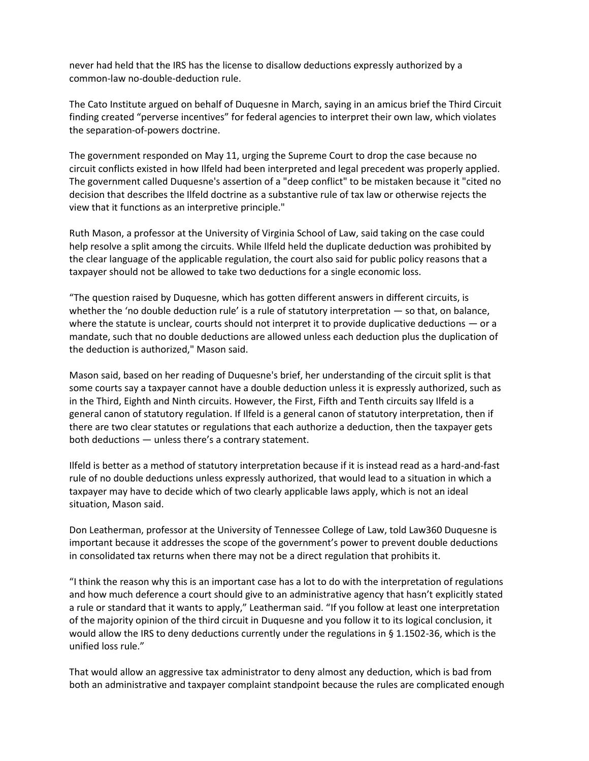never had held that the IRS has the license to disallow deductions expressly authorized by a common-law no-double-deduction rule.

The Cato Institute argued on behalf of Duquesne in March, saying in an amicus brief the Third Circuit finding created "perverse incentives" for federal agencies to interpret their own law, which violates the separation-of-powers doctrine.

The government responded on May 11, urging the Supreme Court to drop the case because no circuit conflicts existed in how Ilfeld had been interpreted and legal precedent was properly applied. The government called Duquesne's assertion of a "deep conflict" to be mistaken because it "cited no decision that describes the Ilfeld doctrine as a substantive rule of tax law or otherwise rejects the view that it functions as an interpretive principle."

Ruth Mason, a professor at the University of Virginia School of Law, said taking on the case could help resolve a split among the circuits. While Ilfeld held the duplicate deduction was prohibited by the clear language of the applicable regulation, the court also said for public policy reasons that a taxpayer should not be allowed to take two deductions for a single economic loss.

"The question raised by Duquesne, which has gotten different answers in different circuits, is whether the 'no double deduction rule' is a rule of statutory interpretation — so that, on balance, where the statute is unclear, courts should not interpret it to provide duplicative deductions — or a mandate, such that no double deductions are allowed unless each deduction plus the duplication of the deduction is authorized," Mason said.

Mason said, based on her reading of Duquesne's brief, her understanding of the circuit split is that some courts say a taxpayer cannot have a double deduction unless it is expressly authorized, such as in the Third, Eighth and Ninth circuits. However, the First, Fifth and Tenth circuits say Ilfeld is a general canon of statutory regulation. If Ilfeld is a general canon of statutory interpretation, then if there are two clear statutes or regulations that each authorize a deduction, then the taxpayer gets both deductions — unless there's a contrary statement.

Ilfeld is better as a method of statutory interpretation because if it is instead read as a hard-and-fast rule of no double deductions unless expressly authorized, that would lead to a situation in which a taxpayer may have to decide which of two clearly applicable laws apply, which is not an ideal situation, Mason said.

Don Leatherman, professor at the University of Tennessee College of Law, told Law360 Duquesne is important because it addresses the scope of the government's power to prevent double deductions in consolidated tax returns when there may not be a direct regulation that prohibits it.

"I think the reason why this is an important case has a lot to do with the interpretation of regulations and how much deference a court should give to an administrative agency that hasn't explicitly stated a rule or standard that it wants to apply," Leatherman said. "If you follow at least one interpretation of the majority opinion of the third circuit in Duquesne and you follow it to its logical conclusion, it would allow the IRS to deny deductions currently under the regulations in § 1.1502-36, which is the unified loss rule."

That would allow an aggressive tax administrator to deny almost any deduction, which is bad from both an administrative and taxpayer complaint standpoint because the rules are complicated enough